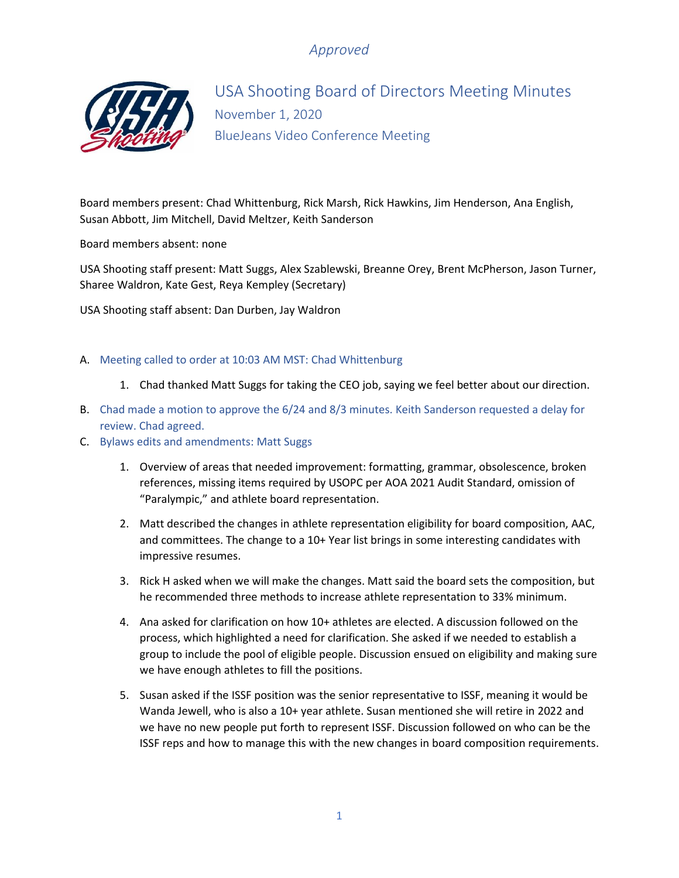# *Approved*



USA Shooting Board of Directors Meeting Minutes November 1, 2020 BlueJeans Video Conference Meeting

Board members present: Chad Whittenburg, Rick Marsh, Rick Hawkins, Jim Henderson, Ana English, Susan Abbott, Jim Mitchell, David Meltzer, Keith Sanderson

Board members absent: none

USA Shooting staff present: Matt Suggs, Alex Szablewski, Breanne Orey, Brent McPherson, Jason Turner, Sharee Waldron, Kate Gest, Reya Kempley (Secretary)

USA Shooting staff absent: Dan Durben, Jay Waldron

#### A. Meeting called to order at 10:03 AM MST: Chad Whittenburg

- 1. Chad thanked Matt Suggs for taking the CEO job, saying we feel better about our direction.
- B. Chad made a motion to approve the 6/24 and 8/3 minutes. Keith Sanderson requested a delay for review. Chad agreed.
- C. Bylaws edits and amendments: Matt Suggs
	- 1. Overview of areas that needed improvement: formatting, grammar, obsolescence, broken references, missing items required by USOPC per AOA 2021 Audit Standard, omission of "Paralympic," and athlete board representation.
	- 2. Matt described the changes in athlete representation eligibility for board composition, AAC, and committees. The change to a 10+ Year list brings in some interesting candidates with impressive resumes.
	- 3. Rick H asked when we will make the changes. Matt said the board sets the composition, but he recommended three methods to increase athlete representation to 33% minimum.
	- 4. Ana asked for clarification on how 10+ athletes are elected. A discussion followed on the process, which highlighted a need for clarification. She asked if we needed to establish a group to include the pool of eligible people. Discussion ensued on eligibility and making sure we have enough athletes to fill the positions.
	- 5. Susan asked if the ISSF position was the senior representative to ISSF, meaning it would be Wanda Jewell, who is also a 10+ year athlete. Susan mentioned she will retire in 2022 and we have no new people put forth to represent ISSF. Discussion followed on who can be the ISSF reps and how to manage this with the new changes in board composition requirements.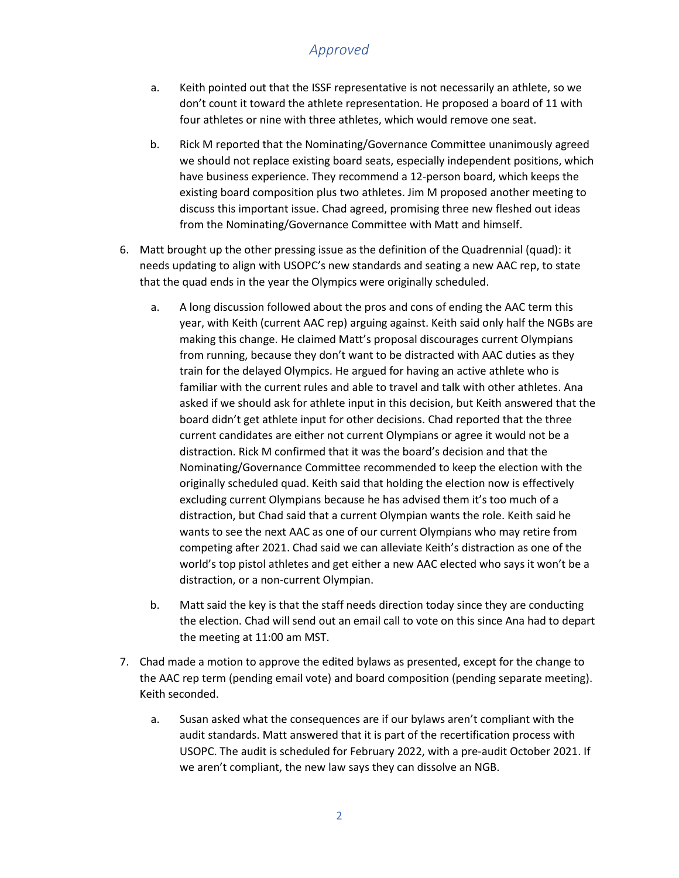## *Approved*

- a. Keith pointed out that the ISSF representative is not necessarily an athlete, so we don't count it toward the athlete representation. He proposed a board of 11 with four athletes or nine with three athletes, which would remove one seat.
- b. Rick M reported that the Nominating/Governance Committee unanimously agreed we should not replace existing board seats, especially independent positions, which have business experience. They recommend a 12-person board, which keeps the existing board composition plus two athletes. Jim M proposed another meeting to discuss this important issue. Chad agreed, promising three new fleshed out ideas from the Nominating/Governance Committee with Matt and himself.
- 6. Matt brought up the other pressing issue as the definition of the Quadrennial (quad): it needs updating to align with USOPC's new standards and seating a new AAC rep, to state that the quad ends in the year the Olympics were originally scheduled.
	- a. A long discussion followed about the pros and cons of ending the AAC term this year, with Keith (current AAC rep) arguing against. Keith said only half the NGBs are making this change. He claimed Matt's proposal discourages current Olympians from running, because they don't want to be distracted with AAC duties as they train for the delayed Olympics. He argued for having an active athlete who is familiar with the current rules and able to travel and talk with other athletes. Ana asked if we should ask for athlete input in this decision, but Keith answered that the board didn't get athlete input for other decisions. Chad reported that the three current candidates are either not current Olympians or agree it would not be a distraction. Rick M confirmed that it was the board's decision and that the Nominating/Governance Committee recommended to keep the election with the originally scheduled quad. Keith said that holding the election now is effectively excluding current Olympians because he has advised them it's too much of a distraction, but Chad said that a current Olympian wants the role. Keith said he wants to see the next AAC as one of our current Olympians who may retire from competing after 2021. Chad said we can alleviate Keith's distraction as one of the world's top pistol athletes and get either a new AAC elected who says it won't be a distraction, or a non-current Olympian.
	- b. Matt said the key is that the staff needs direction today since they are conducting the election. Chad will send out an email call to vote on this since Ana had to depart the meeting at 11:00 am MST.
- 7. Chad made a motion to approve the edited bylaws as presented, except for the change to the AAC rep term (pending email vote) and board composition (pending separate meeting). Keith seconded.
	- a. Susan asked what the consequences are if our bylaws aren't compliant with the audit standards. Matt answered that it is part of the recertification process with USOPC. The audit is scheduled for February 2022, with a pre-audit October 2021. If we aren't compliant, the new law says they can dissolve an NGB.